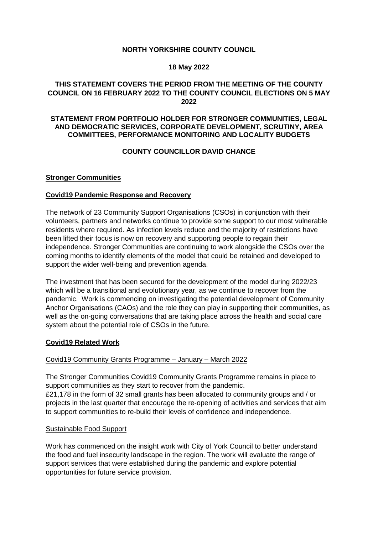### **NORTH YORKSHIRE COUNTY COUNCIL**

### **18 May 2022**

## **THIS STATEMENT COVERS THE PERIOD FROM THE MEETING OF THE COUNTY COUNCIL ON 16 FEBRUARY 2022 TO THE COUNTY COUNCIL ELECTIONS ON 5 MAY 2022**

#### **STATEMENT FROM PORTFOLIO HOLDER FOR STRONGER COMMUNITIES, LEGAL AND DEMOCRATIC SERVICES, CORPORATE DEVELOPMENT, SCRUTINY, AREA COMMITTEES, PERFORMANCE MONITORING AND LOCALITY BUDGETS**

## **COUNTY COUNCILLOR DAVID CHANCE**

#### **Stronger Communities**

### **Covid19 Pandemic Response and Recovery**

The network of 23 Community Support Organisations (CSOs) in conjunction with their volunteers, partners and networks continue to provide some support to our most vulnerable residents where required. As infection levels reduce and the majority of restrictions have been lifted their focus is now on recovery and supporting people to regain their independence. Stronger Communities are continuing to work alongside the CSOs over the coming months to identify elements of the model that could be retained and developed to support the wider well-being and prevention agenda.

The investment that has been secured for the development of the model during 2022/23 which will be a transitional and evolutionary year, as we continue to recover from the pandemic. Work is commencing on investigating the potential development of Community Anchor Organisations (CAOs) and the role they can play in supporting their communities, as well as the on-going conversations that are taking place across the health and social care system about the potential role of CSOs in the future.

#### **Covid19 Related Work**

### Covid19 Community Grants Programme – January – March 2022

The Stronger Communities Covid19 Community Grants Programme remains in place to support communities as they start to recover from the pandemic. £21,178 in the form of 32 small grants has been allocated to community groups and / or

projects in the last quarter that encourage the re-opening of activities and services that aim to support communities to re-build their levels of confidence and independence.

#### Sustainable Food Support

Work has commenced on the insight work with City of York Council to better understand the food and fuel insecurity landscape in the region. The work will evaluate the range of support services that were established during the pandemic and explore potential opportunities for future service provision.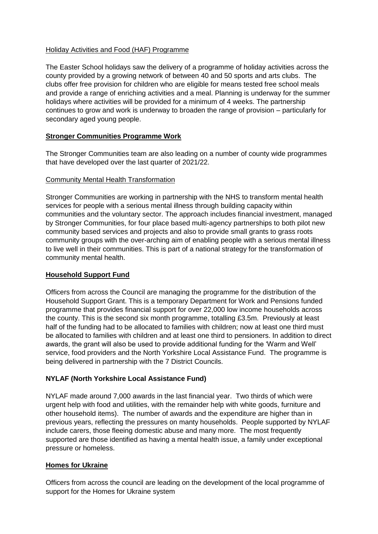## Holiday Activities and Food (HAF) Programme

The Easter School holidays saw the delivery of a programme of holiday activities across the county provided by a growing network of between 40 and 50 sports and arts clubs. The clubs offer free provision for children who are eligible for means tested free school meals and provide a range of enriching activities and a meal. Planning is underway for the summer holidays where activities will be provided for a minimum of 4 weeks. The partnership continues to grow and work is underway to broaden the range of provision – particularly for secondary aged young people.

## **Stronger Communities Programme Work**

The Stronger Communities team are also leading on a number of county wide programmes that have developed over the last quarter of 2021/22.

## Community Mental Health Transformation

Stronger Communities are working in partnership with the NHS to transform mental health services for people with a serious mental illness through building capacity within communities and the voluntary sector. The approach includes financial investment, managed by Stronger Communities, for four place based multi-agency partnerships to both pilot new community based services and projects and also to provide small grants to grass roots community groups with the over-arching aim of enabling people with a serious mental illness to live well in their communities. This is part of a national strategy for the transformation of community mental health.

## **Household Support Fund**

Officers from across the Council are managing the programme for the distribution of the Household Support Grant. This is a temporary Department for Work and Pensions funded programme that provides financial support for over 22,000 low income households across the county. This is the second six month programme, totalling £3.5m. Previously at least half of the funding had to be allocated to families with children; now at least one third must be allocated to families with children and at least one third to pensioners. In addition to direct awards, the grant will also be used to provide additional funding for the 'Warm and Well' service, food providers and the North Yorkshire Local Assistance Fund. The programme is being delivered in partnership with the 7 District Councils.

## **NYLAF (North Yorkshire Local Assistance Fund)**

NYLAF made around 7,000 awards in the last financial year. Two thirds of which were urgent help with food and utilities, with the remainder help with white goods, furniture and other household items). The number of awards and the expenditure are higher than in previous years, reflecting the pressures on manty households. People supported by NYLAF include carers, those fleeing domestic abuse and many more. The most frequently supported are those identified as having a mental health issue, a family under exceptional pressure or homeless.

## **Homes for Ukraine**

Officers from across the council are leading on the development of the local programme of support for the Homes for Ukraine system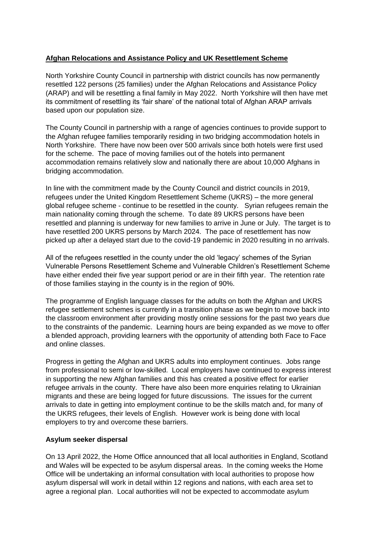## **Afghan Relocations and Assistance Policy and UK Resettlement Scheme**

North Yorkshire County Council in partnership with district councils has now permanently resettled 122 persons (25 families) under the Afghan Relocations and Assistance Policy (ARAP) and will be resettling a final family in May 2022. North Yorkshire will then have met its commitment of resettling its 'fair share' of the national total of Afghan ARAP arrivals based upon our population size.

The County Council in partnership with a range of agencies continues to provide support to the Afghan refugee families temporarily residing in two bridging accommodation hotels in North Yorkshire. There have now been over 500 arrivals since both hotels were first used for the scheme. The pace of moving families out of the hotels into permanent accommodation remains relatively slow and nationally there are about 10,000 Afghans in bridging accommodation.

In line with the commitment made by the County Council and district councils in 2019, refugees under the United Kingdom Resettlement Scheme (UKRS) – the more general global refugee scheme - continue to be resettled in the county. Syrian refugees remain the main nationality coming through the scheme. To date 89 UKRS persons have been resettled and planning is underway for new families to arrive in June or July. The target is to have resettled 200 UKRS persons by March 2024. The pace of resettlement has now picked up after a delayed start due to the covid-19 pandemic in 2020 resulting in no arrivals.

All of the refugees resettled in the county under the old 'legacy' schemes of the Syrian Vulnerable Persons Resettlement Scheme and Vulnerable Children's Resettlement Scheme have either ended their five year support period or are in their fifth year. The retention rate of those families staying in the county is in the region of 90%.

The programme of English language classes for the adults on both the Afghan and UKRS refugee settlement schemes is currently in a transition phase as we begin to move back into the classroom environment after providing mostly online sessions for the past two years due to the constraints of the pandemic. Learning hours are being expanded as we move to offer a blended approach, providing learners with the opportunity of attending both Face to Face and online classes.

Progress in getting the Afghan and UKRS adults into employment continues. Jobs range from professional to semi or low-skilled. Local employers have continued to express interest in supporting the new Afghan families and this has created a positive effect for earlier refugee arrivals in the county. There have also been more enquiries relating to Ukrainian migrants and these are being logged for future discussions. The issues for the current arrivals to date in getting into employment continue to be the skills match and, for many of the UKRS refugees, their levels of English. However work is being done with local employers to try and overcome these barriers.

### **Asylum seeker dispersal**

On 13 April 2022, the Home Office announced that all local authorities in England, Scotland and Wales will be expected to be asylum dispersal areas. In the coming weeks the Home Office will be undertaking an informal consultation with local authorities to propose how asylum dispersal will work in detail within 12 regions and nations, with each area set to agree a regional plan. Local authorities will not be expected to accommodate asylum